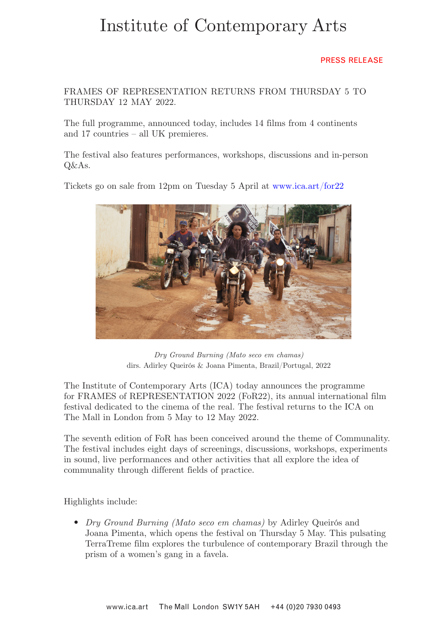# Institute of Contemporary Arts

## PRESS RELEASE

FRAMES OF REPRESENTATION RETURNS FROM THURSDAY 5 TO THURSDAY 12 MAY 2022.

The full programme, announced today, includes 14 films from 4 continents and 17 countries – all UK premieres.

The festival also features performances, workshops, discussions and in-person Q&As.

Tickets go on sale from 12pm on Tuesday 5 April at www.ica.art/for22



*Dry Ground Burning (Mato seco em chamas)* dirs. Adirley Queirós & Joana Pimenta, Brazil/Portugal, 2022

The Institute of Contemporary Arts (ICA) today announces the programme for FRAMES of REPRESENTATION 2022 (FoR22), its annual international film festival dedicated to the cinema of the real. The festival returns to the ICA on The Mall in London from 5 May to 12 May 2022.

The seventh edition of FoR has been conceived around the theme of Communality. The festival includes eight days of screenings, discussions, workshops, experiments in sound, live performances and other activities that all explore the idea of communality through different fields of practice.

Highlights include:

• *Dry Ground Burning (Mato seco em chamas)* by Adirley Queirós and Joana Pimenta, which opens the festival on Thursday 5 May. This pulsating TerraTreme film explores the turbulence of contemporary Brazil through the prism of a women's gang in a favela.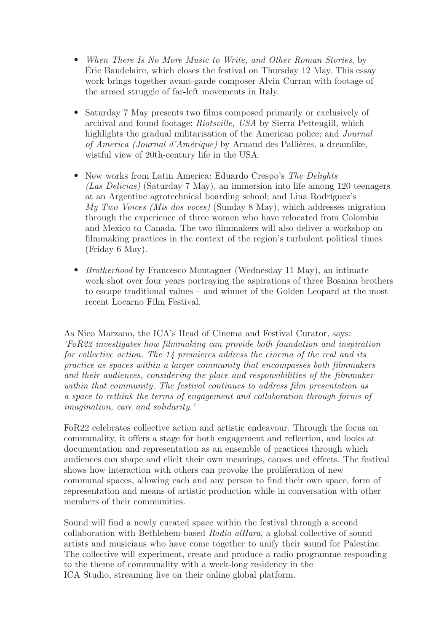- *When There Is No More Music to Write, and Other Roman Stories*, by Éric Baudelaire, which closes the festival on Thursday 12 May. This essay work brings together avant-garde composer Alvin Curran with footage of the armed struggle of far-left movements in Italy.
- Saturday 7 May presents two films composed primarily or exclusively of archival and found footage: *Riotsville, USA* by Sierra Pettengill, which highlights the gradual militarisation of the American police; and *Journal of America (Journal d'Amérique)* by Arnaud des Pallières, a dreamlike, wistful view of 20th-century life in the USA.
- New works from Latin America: Eduardo Crespo's *The Delights (Las Delicias)* (Saturday 7 May), an immersion into life among 120 teenagers at an Argentine agrotechnical boarding school; and Lina Rodríguez's *My Two Voices (Mis dos voces)* (Sunday 8 May), which addresses migration through the experience of three women who have relocated from Colombia and Mexico to Canada. The two filmmakers will also deliver a workshop on filmmaking practices in the context of the region's turbulent political times (Friday 6 May).
- *Brotherhood* by Francesco Montagner (Wednesday 11 May), an intimate work shot over four years portraying the aspirations of three Bosnian brothers to escape traditional values – and winner of the Golden Leopard at the most recent Locarno Film Festival.

As Nico Marzano, the ICA's Head of Cinema and Festival Curator, says: *'FoR22 investigates how filmmaking can provide both foundation and inspiration for collective action. The 14 premieres address the cinema of the real and its practice as spaces within a larger community that encompasses both filmmakers and their audiences, considering the place and responsibilities of the filmmaker within that community. The festival continues to address film presentation as a space to rethink the terms of engagement and collaboration through forms of imagination, care and solidarity.'*

FoR22 celebrates collective action and artistic endeavour. Through the focus on communality, it offers a stage for both engagement and reflection, and looks at documentation and representation as an ensemble of practices through which audiences can shape and elicit their own meanings, causes and effects. The festival shows how interaction with others can provoke the proliferation of new communal spaces, allowing each and any person to find their own space, form of representation and means of artistic production while in conversation with other members of their communities.

Sound will find a newly curated space within the festival through a second collaboration with Bethlehem-based *Radio alHara*, a global collective of sound artists and musicians who have come together to unify their sound for Palestine. The collective will experiment, create and produce a radio programme responding to the theme of communality with a week-long residency in the ICA Studio, streaming live on their online global platform.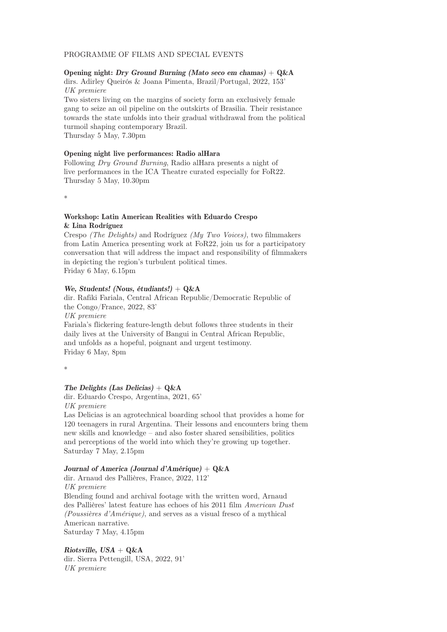## PROGRAMME OF FILMS AND SPECIAL EVENTS

## **Opening night: Dry Ground Burning (Mato seco em chamas) + Q&A**

dirs. Adirley Queirós & Joana Pimenta, Brazil/Portugal, 2022, 153' *UK premiere*

Two sisters living on the margins of society form an exclusively female gang to seize an oil pipeline on the outskirts of Brasilia. Their resistance towards the state unfolds into their gradual withdrawal from the political turmoil shaping contemporary Brazil.

Thursday 5 May, 7.30pm

#### **Opening night live performances: Radio alHara**

Following *Dry Ground Burning*, Radio alHara presents a night of live performances in the ICA Theatre curated especially for FoR22. Thursday 5 May, 10.30pm

\*

## **Workshop: Latin American Realities with Eduardo Crespo & Lina Rodríguez**

Crespo *(The Delights)* and Rodríguez *(My Two Voices)*, two filmmakers from Latin America presenting work at FoR22, join us for a participatory conversation that will address the impact and responsibility of filmmakers in depicting the region's turbulent political times. Friday 6 May, 6.15pm

## **We, Students! (Nous, étudiants!) + Q&A**

dir. Rafiki Fariala, Central African Republic/Democratic Republic of the Congo/France, 2022, 83' *UK premiere* Fariala's flickering feature-length debut follows three students in their daily lives at the University of Bangui in Central African Republic,

and unfolds as a hopeful, poignant and urgent testimony. Friday 6 May, 8pm

\*

## **The Delights (Las Delicias) + Q&A**

dir. Eduardo Crespo, Argentina, 2021, 65'

*UK premiere*

Las Delicias is an agrotechnical boarding school that provides a home for 120 teenagers in rural Argentina. Their lessons and encounters bring them new skills and knowledge – and also foster shared sensibilities, politics and perceptions of the world into which they're growing up together. Saturday 7 May, 2.15pm

#### **Journal of America (Journal d'Amérique) + Q&A**

dir. Arnaud des Pallières, France, 2022, 112' *UK premiere* Blending found and archival footage with the written word, Arnaud des Pallières' latest feature has echoes of his 2011 film *American Dust (Poussières d'Amérique)*, and serves as a visual fresco of a mythical American narrative. Saturday 7 May, 4.15pm

**Riotsville, USA + Q&A** dir. Sierra Pettengill, USA, 2022, 91' *UK premiere*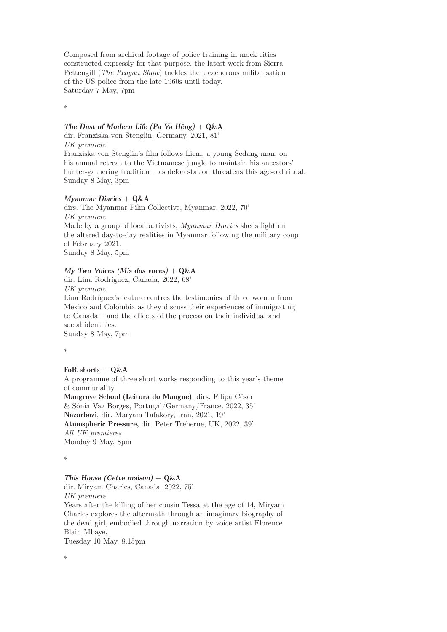Composed from archival footage of police training in mock cities constructed expressly for that purpose, the latest work from Sierra Pettengill (*The Reagan Show*) tackles the treacherous militarisation of the US police from the late 1960s until today. Saturday 7 May, 7pm

\*

#### **The Dust of Modern Life (Pa Va Hêng) + Q&A**

dir. Franziska von Stenglin, Germany, 2021, 81' *UK premiere*

Franziska von Stenglin's film follows Liem, a young Sedang man, on his annual retreat to the Vietnamese jungle to maintain his ancestors' hunter-gathering tradition – as deforestation threatens this age-old ritual. Sunday 8 May, 3pm

#### **Myanmar Diaries + Q&A**

dirs. The Myanmar Film Collective, Myanmar, 2022, 70' *UK premiere* Made by a group of local activists, *Myanmar Diaries* sheds light on the altered day-to-day realities in Myanmar following the military coup of February 2021. Sunday 8 May, 5pm

#### **My Two Voices (Mis dos voces) + Q&A**

dir. Lina Rodríguez, Canada, 2022, 68' *UK premiere* Lina Rodríguez's feature centres the testimonies of three women from Mexico and Colombia as they discuss their experiences of immigrating to Canada – and the effects of the process on their individual and social identities. Sunday 8 May, 7pm

\*

#### **FoR shorts + Q&A**

A programme of three short works responding to this year's theme of communality. **Mangrove School (Leitura do Mangue)**, dirs. Filipa César & Sónia Vaz Borges, Portugal/Germany/France. 2022, 35' **Nazarbazi**, dir. Maryam Tafakory, Iran, 2021, 19' **Atmospheric Pressure,** dir. Peter Treherne, UK, 2022, 39' *All UK premieres* Monday 9 May, 8pm

\*

## **This House (Cette maison) + Q&A**

dir. Miryam Charles, Canada, 2022, 75' *UK premiere*

Years after the killing of her cousin Tessa at the age of 14, Miryam Charles explores the aftermath through an imaginary biography of the dead girl, embodied through narration by voice artist Florence Blain Mbaye.

Tuesday 10 May, 8.15pm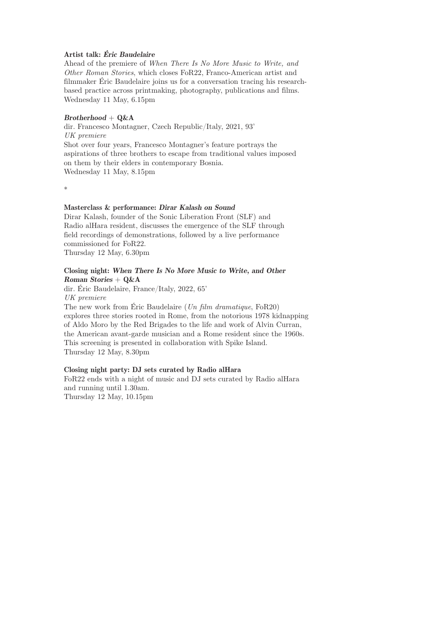## **Artist talk: Éric Baudelaire**

Ahead of the premiere of *When There Is No More Music to Write, and Other Roman Stories*, which closes FoR22, Franco-American artist and filmmaker Éric Baudelaire joins us for a conversation tracing his researchbased practice across printmaking, photography, publications and films. Wednesday 11 May, 6.15pm

#### **Brotherhood + Q&A**

dir. Francesco Montagner, Czech Republic/Italy, 2021, 93' *UK premiere* Shot over four years, Francesco Montagner's feature portrays the aspirations of three brothers to escape from traditional values imposed on them by their elders in contemporary Bosnia. Wednesday 11 May, 8.15pm

\*

#### **Masterclass & performance: Dirar Kalash on Sound**

Dirar Kalash, founder of the Sonic Liberation Front (SLF) and Radio alHara resident, discusses the emergence of the SLF through field recordings of demonstrations, followed by a live performance commissioned for FoR22. Thursday 12 May, 6.30pm

## **Closing night: When There Is No More Music to Write, and Other Roman Stories + Q&A**

dir. Éric Baudelaire, France/Italy, 2022, 65' *UK premiere*

The new work from Éric Baudelaire (*Un film dramatique*, FoR20) explores three stories rooted in Rome, from the notorious 1978 kidnapping of Aldo Moro by the Red Brigades to the life and work of Alvin Curran, the American avant-garde musician and a Rome resident since the 1960s. This screening is presented in collaboration with Spike Island. Thursday 12 May, 8.30pm

#### **Closing night party: DJ sets curated by Radio alHara**

FoR22 ends with a night of music and DJ sets curated by Radio alHara and running until 1.30am. Thursday 12 May, 10.15pm